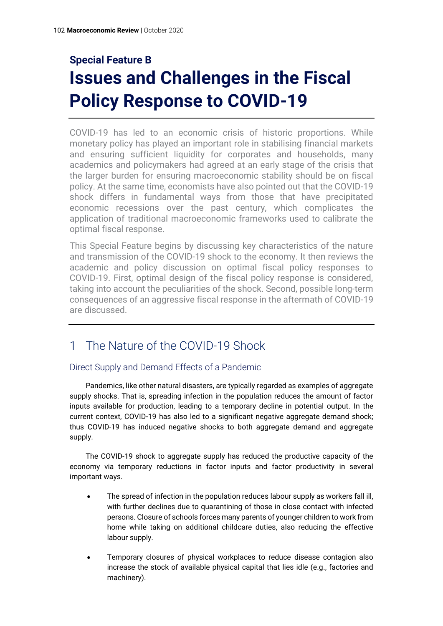# **Special Feature B Issues and Challenges in the Fiscal Policy Response to COVID-19**

COVID-19 has led to an economic crisis of historic proportions. While monetary policy has played an important role in stabilising financial markets and ensuring sufficient liquidity for corporates and households, many academics and policymakers had agreed at an early stage of the crisis that the larger burden for ensuring macroeconomic stability should be on fiscal policy. At the same time, economists have also pointed out that the COVID-19 shock differs in fundamental ways from those that have precipitated economic recessions over the past century, which complicates the application of traditional macroeconomic frameworks used to calibrate the optimal fiscal response.

This Special Feature begins by discussing key characteristics of the nature and transmission of the COVID-19 shock to the economy. It then reviews the academic and policy discussion on optimal fiscal policy responses to COVID-19. First, optimal design of the fiscal policy response is considered, taking into account the peculiarities of the shock. Second, possible long-term consequences of an aggressive fiscal response in the aftermath of COVID-19 are discussed.

# 1 The Nature of the COVID-19 Shock

#### Direct Supply and Demand Effects of a Pandemic

Pandemics, like other natural disasters, are typically regarded as examples of aggregate supply shocks. That is, spreading infection in the population reduces the amount of factor inputs available for production, leading to a temporary decline in potential output. In the current context, COVID-19 has also led to a significant negative aggregate demand shock; thus COVID-19 has induced negative shocks to both aggregate demand and aggregate supply.

The COVID-19 shock to aggregate supply has reduced the productive capacity of the economy via temporary reductions in factor inputs and factor productivity in several important ways.

- The spread of infection in the population reduces labour supply as workers fall ill. with further declines due to quarantining of those in close contact with infected persons. Closure of schools forces many parents of younger children to work from home while taking on additional childcare duties, also reducing the effective labour supply.
- Temporary closures of physical workplaces to reduce disease contagion also increase the stock of available physical capital that lies idle (e.g., factories and machinery).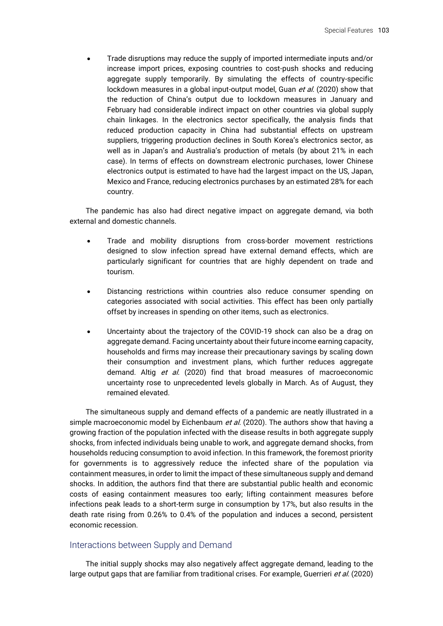• Trade disruptions may reduce the supply of imported intermediate inputs and/or increase import prices, exposing countries to cost-push shocks and reducing aggregate supply temporarily. By simulating the effects of country-specific lockdown measures in a global input-output model, Guan *et al.* (2020) show that the reduction of China's output due to lockdown measures in January and February had considerable indirect impact on other countries via global supply chain linkages. In the electronics sector specifically, the analysis finds that reduced production capacity in China had substantial effects on upstream suppliers, triggering production declines in South Korea's electronics sector, as well as in Japan's and Australia's production of metals (by about 21% in each case). In terms of effects on downstream electronic purchases, lower Chinese electronics output is estimated to have had the largest impact on the US, Japan, Mexico and France, reducing electronics purchases by an estimated 28% for each country.

The pandemic has also had direct negative impact on aggregate demand, via both external and domestic channels.

- Trade and mobility disruptions from cross-border movement restrictions designed to slow infection spread have external demand effects, which are particularly significant for countries that are highly dependent on trade and tourism.
- Distancing restrictions within countries also reduce consumer spending on categories associated with social activities. This effect has been only partially offset by increases in spending on other items, such as electronics.
- Uncertainty about the trajectory of the COVID-19 shock can also be a drag on aggregate demand. Facing uncertainty about their future income earning capacity, households and firms may increase their precautionary savings by scaling down their consumption and investment plans, which further reduces aggregate demand. Altig et al. (2020) find that broad measures of macroeconomic uncertainty rose to unprecedented levels globally in March. As of August, they remained elevated.

The simultaneous supply and demand effects of a pandemic are neatly illustrated in a simple macroeconomic model by Eichenbaum et al. (2020). The authors show that having a growing fraction of the population infected with the disease results in both aggregate supply shocks, from infected individuals being unable to work, and aggregate demand shocks, from households reducing consumption to avoid infection. In this framework, the foremost priority for governments is to aggressively reduce the infected share of the population via containment measures, in order to limit the impact of these simultaneous supply and demand shocks. In addition, the authors find that there are substantial public health and economic costs of easing containment measures too early; lifting containment measures before infections peak leads to a short-term surge in consumption by 17%, but also results in the death rate rising from 0.26% to 0.4% of the population and induces a second, persistent economic recession.

#### Interactions between Supply and Demand

The initial supply shocks may also negatively affect aggregate demand, leading to the large output gaps that are familiar from traditional crises. For example, Guerrieri et al. (2020)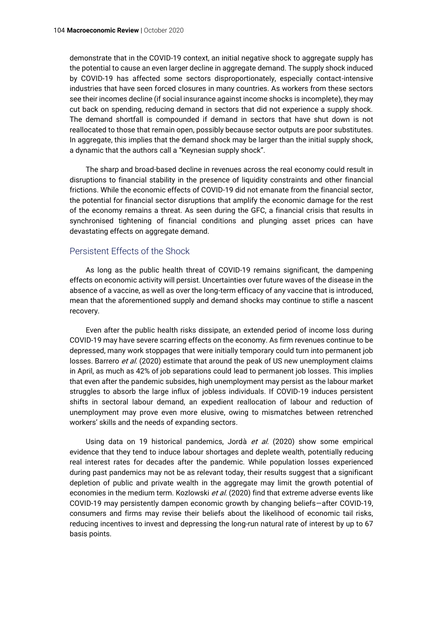demonstrate that in the COVID-19 context, an initial negative shock to aggregate supply has the potential to cause an even larger decline in aggregate demand. The supply shock induced by COVID-19 has affected some sectors disproportionately, especially contact-intensive industries that have seen forced closures in many countries. As workers from these sectors see their incomes decline (if social insurance against income shocks is incomplete), they may cut back on spending, reducing demand in sectors that did not experience a supply shock. The demand shortfall is compounded if demand in sectors that have shut down is not reallocated to those that remain open, possibly because sector outputs are poor substitutes. In aggregate, this implies that the demand shock may be larger than the initial supply shock, a dynamic that the authors call a "Keynesian supply shock".

The sharp and broad-based decline in revenues across the real economy could result in disruptions to financial stability in the presence of liquidity constraints and other financial frictions. While the economic effects of COVID-19 did not emanate from the financial sector, the potential for financial sector disruptions that amplify the economic damage for the rest of the economy remains a threat. As seen during the GFC, a financial crisis that results in synchronised tightening of financial conditions and plunging asset prices can have devastating effects on aggregate demand.

#### Persistent Effects of the Shock

As long as the public health threat of COVID-19 remains significant, the dampening effects on economic activity will persist. Uncertainties over future waves of the disease in the absence of a vaccine, as well as over the long-term efficacy of any vaccine that is introduced, mean that the aforementioned supply and demand shocks may continue to stifle a nascent recovery.

Even after the public health risks dissipate, an extended period of income loss during COVID-19 may have severe scarring effects on the economy. As firm revenues continue to be depressed, many work stoppages that were initially temporary could turn into permanent job losses. Barrero et al. (2020) estimate that around the peak of US new unemployment claims in April, as much as 42% of job separations could lead to permanent job losses. This implies that even after the pandemic subsides, high unemployment may persist as the labour market struggles to absorb the large influx of jobless individuals. If COVID-19 induces persistent shifts in sectoral labour demand, an expedient reallocation of labour and reduction of unemployment may prove even more elusive, owing to mismatches between retrenched workers' skills and the needs of expanding sectors.

Using data on 19 historical pandemics, Jordà et al. (2020) show some empirical evidence that they tend to induce labour shortages and deplete wealth, potentially reducing real interest rates for decades after the pandemic. While population losses experienced during past pandemics may not be as relevant today, their results suggest that a significant depletion of public and private wealth in the aggregate may limit the growth potential of economies in the medium term. Kozlowski et al. (2020) find that extreme adverse events like COVID-19 may persistently dampen economic growth by changing beliefs—after COVID-19, consumers and firms may revise their beliefs about the likelihood of economic tail risks, reducing incentives to invest and depressing the long-run natural rate of interest by up to 67 basis points.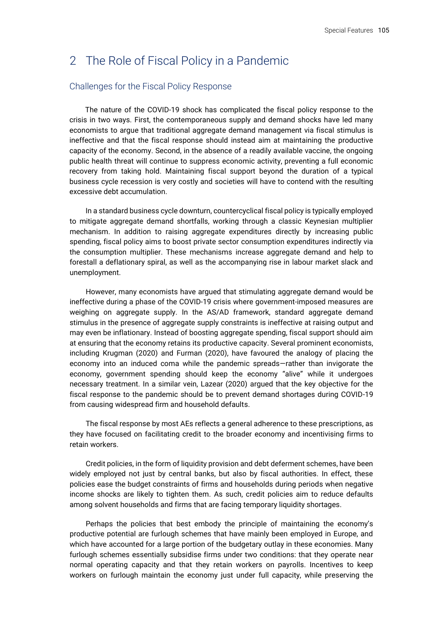# 2 The Role of Fiscal Policy in a Pandemic

#### Challenges for the Fiscal Policy Response

The nature of the COVID-19 shock has complicated the fiscal policy response to the crisis in two ways. First, the contemporaneous supply and demand shocks have led many economists to argue that traditional aggregate demand management via fiscal stimulus is ineffective and that the fiscal response should instead aim at maintaining the productive capacity of the economy. Second, in the absence of a readily available vaccine, the ongoing public health threat will continue to suppress economic activity, preventing a full economic recovery from taking hold. Maintaining fiscal support beyond the duration of a typical business cycle recession is very costly and societies will have to contend with the resulting excessive debt accumulation.

In a standard business cycle downturn, countercyclical fiscal policy is typically employed to mitigate aggregate demand shortfalls, working through a classic Keynesian multiplier mechanism. In addition to raising aggregate expenditures directly by increasing public spending, fiscal policy aims to boost private sector consumption expenditures indirectly via the consumption multiplier. These mechanisms increase aggregate demand and help to forestall a deflationary spiral, as well as the accompanying rise in labour market slack and unemployment.

However, many economists have argued that stimulating aggregate demand would be ineffective during a phase of the COVID-19 crisis where government-imposed measures are weighing on aggregate supply. In the AS/AD framework, standard aggregate demand stimulus in the presence of aggregate supply constraints is ineffective at raising output and may even be inflationary. Instead of boosting aggregate spending, fiscal support should aim at ensuring that the economy retains its productive capacity. Several prominent economists, including Krugman (2020) and Furman (2020), have favoured the analogy of placing the economy into an induced coma while the pandemic spreads—rather than invigorate the economy, government spending should keep the economy "alive" while it undergoes necessary treatment. In a similar vein, Lazear (2020) argued that the key objective for the fiscal response to the pandemic should be to prevent demand shortages during COVID-19 from causing widespread firm and household defaults.

The fiscal response by most AEs reflects a general adherence to these prescriptions, as they have focused on facilitating credit to the broader economy and incentivising firms to retain workers.

Credit policies, in the form of liquidity provision and debt deferment schemes, have been widely employed not just by central banks, but also by fiscal authorities. In effect, these policies ease the budget constraints of firms and households during periods when negative income shocks are likely to tighten them. As such, credit policies aim to reduce defaults among solvent households and firms that are facing temporary liquidity shortages.

Perhaps the policies that best embody the principle of maintaining the economy's productive potential are furlough schemes that have mainly been employed in Europe, and which have accounted for a large portion of the budgetary outlay in these economies. Many furlough schemes essentially subsidise firms under two conditions: that they operate near normal operating capacity and that they retain workers on payrolls. Incentives to keep workers on furlough maintain the economy just under full capacity, while preserving the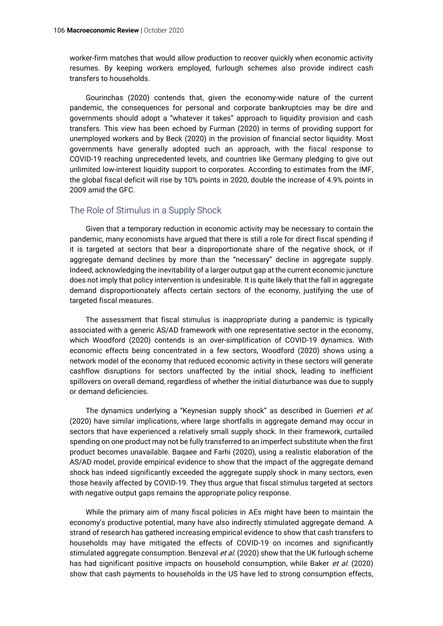worker-firm matches that would allow production to recover quickly when economic activity resumes. By keeping workers employed, furlough schemes also provide indirect cash transfers to households.

Gourinchas (2020) contends that, given the economy-wide nature of the current pandemic, the consequences for personal and corporate bankruptcies may be dire and governments should adopt a "whatever it takes" approach to liquidity provision and cash transfers. This view has been echoed by Furman (2020) in terms of providing support for unemployed workers and by Beck (2020) in the provision of financial sector liquidity. Most governments have generally adopted such an approach, with the fiscal response to COVID-19 reaching unprecedented levels, and countries like Germany pledging to give out unlimited low-interest liquidity support to corporates. According to estimates from the IMF, the global fiscal deficit will rise by 10% points in 2020, double the increase of 4.9% points in 2009 amid the GFC.

#### The Role of Stimulus in a Supply Shock

Given that a temporary reduction in economic activity may be necessary to contain the pandemic, many economists have argued that there is still a role for direct fiscal spending if it is targeted at sectors that bear a disproportionate share of the negative shock, or if aggregate demand declines by more than the "necessary" decline in aggregate supply. Indeed, acknowledging the inevitability of a larger output gap at the current economic juncture does not imply that policy intervention is undesirable. It is quite likely that the fall in aggregate demand disproportionately affects certain sectors of the economy, justifying the use of targeted fiscal measures.

The assessment that fiscal stimulus is inappropriate during a pandemic is typically associated with a generic AS/AD framework with one representative sector in the economy, which Woodford (2020) contends is an over-simplification of COVID-19 dynamics. With economic effects being concentrated in a few sectors, Woodford (2020) shows using a network model of the economy that reduced economic activity in these sectors will generate cashflow disruptions for sectors unaffected by the initial shock, leading to inefficient spillovers on overall demand, regardless of whether the initial disturbance was due to supply or demand deficiencies.

The dynamics underlying a "Keynesian supply shock" as described in Guerrieri *et al.* (2020) have similar implications, where large shortfalls in aggregate demand may occur in sectors that have experienced a relatively small supply shock. In their framework, curtailed spending on one product may not be fully transferred to an imperfect substitute when the first product becomes unavailable. Baqaee and Farhi (2020), using a realistic elaboration of the AS/AD model, provide empirical evidence to show that the impact of the aggregate demand shock has indeed significantly exceeded the aggregate supply shock in many sectors, even those heavily affected by COVID-19. They thus argue that fiscal stimulus targeted at sectors with negative output gaps remains the appropriate policy response.

While the primary aim of many fiscal policies in AEs might have been to maintain the economy's productive potential, many have also indirectly stimulated aggregate demand. A strand of research has gathered increasing empirical evidence to show that cash transfers to households may have mitigated the effects of COVID-19 on incomes and significantly stimulated aggregate consumption. Benzeval et al. (2020) show that the UK furlough scheme has had significant positive impacts on household consumption, while Baker et al. (2020) show that cash payments to households in the US have led to strong consumption effects,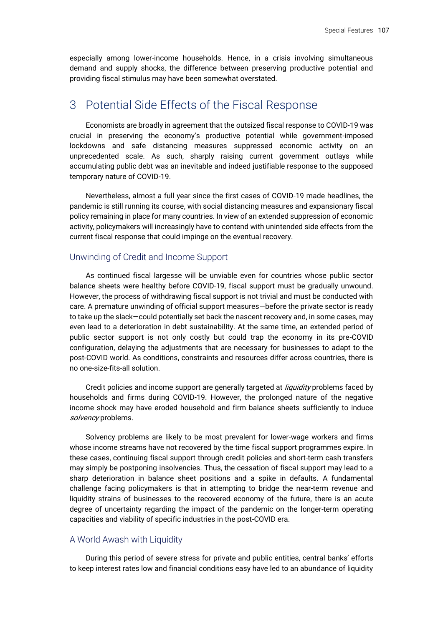especially among lower-income households. Hence, in a crisis involving simultaneous demand and supply shocks, the difference between preserving productive potential and providing fiscal stimulus may have been somewhat overstated.

## 3 Potential Side Effects of the Fiscal Response

Economists are broadly in agreement that the outsized fiscal response to COVID-19 was crucial in preserving the economy's productive potential while government-imposed lockdowns and safe distancing measures suppressed economic activity on an unprecedented scale. As such, sharply raising current government outlays while accumulating public debt was an inevitable and indeed justifiable response to the supposed temporary nature of COVID-19.

Nevertheless, almost a full year since the first cases of COVID-19 made headlines, the pandemic is still running its course, with social distancing measures and expansionary fiscal policy remaining in place for many countries. In view of an extended suppression of economic activity, policymakers will increasingly have to contend with unintended side effects from the current fiscal response that could impinge on the eventual recovery.

#### Unwinding of Credit and Income Support

As continued fiscal largesse will be unviable even for countries whose public sector balance sheets were healthy before COVID-19, fiscal support must be gradually unwound. However, the process of withdrawing fiscal support is not trivial and must be conducted with care. A premature unwinding of official support measures—before the private sector is ready to take up the slack—could potentially set back the nascent recovery and, in some cases, may even lead to a deterioration in debt sustainability. At the same time, an extended period of public sector support is not only costly but could trap the economy in its pre-COVID configuration, delaying the adjustments that are necessary for businesses to adapt to the post-COVID world. As conditions, constraints and resources differ across countries, there is no one-size-fits-all solution.

Credit policies and income support are generally targeted at *liquidity* problems faced by households and firms during COVID-19. However, the prolonged nature of the negative income shock may have eroded household and firm balance sheets sufficiently to induce solvency problems.

Solvency problems are likely to be most prevalent for lower-wage workers and firms whose income streams have not recovered by the time fiscal support programmes expire. In these cases, continuing fiscal support through credit policies and short-term cash transfers may simply be postponing insolvencies. Thus, the cessation of fiscal support may lead to a sharp deterioration in balance sheet positions and a spike in defaults. A fundamental challenge facing policymakers is that in attempting to bridge the near-term revenue and liquidity strains of businesses to the recovered economy of the future, there is an acute degree of uncertainty regarding the impact of the pandemic on the longer-term operating capacities and viability of specific industries in the post-COVID era.

#### A World Awash with Liquidity

During this period of severe stress for private and public entities, central banks' efforts to keep interest rates low and financial conditions easy have led to an abundance of liquidity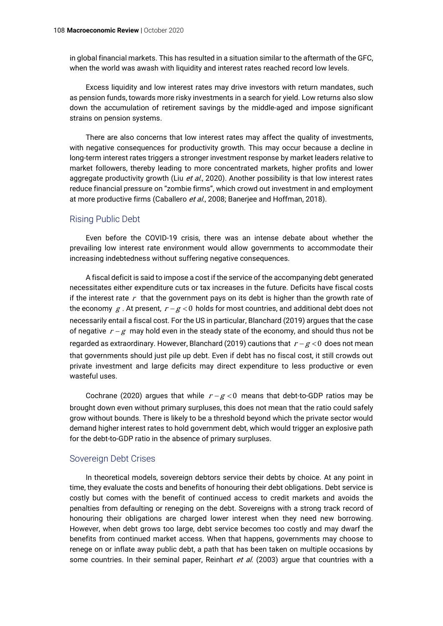in global financial markets. This has resulted in a situation similar to the aftermath of the GFC, when the world was awash with liquidity and interest rates reached record low levels.

Excess liquidity and low interest rates may drive investors with return mandates, such as pension funds, towards more risky investments in a search for yield. Low returns also slow down the accumulation of retirement savings by the middle-aged and impose significant strains on pension systems.

There are also concerns that low interest rates may affect the quality of investments, with negative consequences for productivity growth. This may occur because a decline in long-term interest rates triggers a stronger investment response by market leaders relative to market followers, thereby leading to more concentrated markets, higher profits and lower aggregate productivity growth (Liu et al., 2020). Another possibility is that low interest rates reduce financial pressure on "zombie firms", which crowd out investment in and employment at more productive firms (Caballero et al., 2008; Banerjee and Hoffman, 2018).

#### Rising Public Debt

Even before the COVID-19 crisis, there was an intense debate about whether the prevailing low interest rate environment would allow governments to accommodate their increasing indebtedness without suffering negative consequences.

A fiscal deficit is said to impose a cost if the service of the accompanying debt generated necessitates either expenditure cuts or tax increases in the future. Deficits have fiscal costs if the interest rate  $r$  that the government pays on its debt is higher than the growth rate of the economy  $\,g$  . At present,  $\,r$  –  $g$  < 0 holds for most countries, and additional debt does not necessarily entail a fiscal cost. For the US in particular, Blanchard (2019) argues that the case of negative  $r - g$  may hold even in the steady state of the economy, and should thus not be regarded as extraordinary. However, Blanchard (2019) cautions that  $\,r$  –  $g$  < 0 does not mean  $\,$ that governments should just pile up debt. Even if debt has no fiscal cost, it still crowds out private investment and large deficits may direct expenditure to less productive or even wasteful uses.

Cochrane (2020) argues that while  $r-g < 0$  means that debt-to-GDP ratios may be brought down even without primary surpluses, this does not mean that the ratio could safely grow without bounds. There is likely to be a threshold beyond which the private sector would demand higher interest rates to hold government debt, which would trigger an explosive path for the debt-to-GDP ratio in the absence of primary surpluses.

#### Sovereign Debt Crises

In theoretical models, sovereign debtors service their debts by choice. At any point in time, they evaluate the costs and benefits of honouring their debt obligations. Debt service is costly but comes with the benefit of continued access to credit markets and avoids the penalties from defaulting or reneging on the debt. Sovereigns with a strong track record of honouring their obligations are charged lower interest when they need new borrowing. However, when debt grows too large, debt service becomes too costly and may dwarf the benefits from continued market access. When that happens, governments may choose to renege on or inflate away public debt, a path that has been taken on multiple occasions by some countries. In their seminal paper, Reinhart et al. (2003) argue that countries with a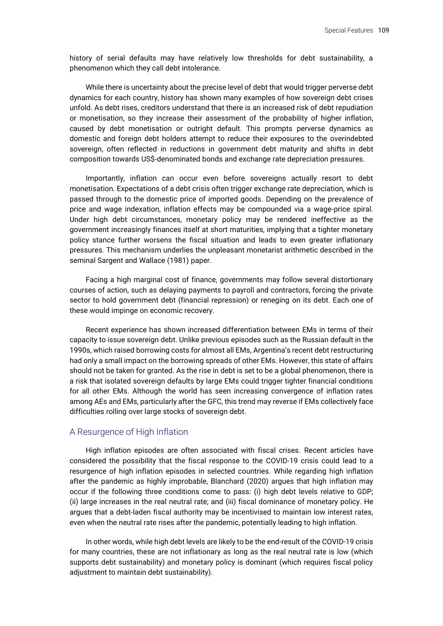history of serial defaults may have relatively low thresholds for debt sustainability, a phenomenon which they call debt intolerance.

While there is uncertainty about the precise level of debt that would trigger perverse debt dynamics for each country, history has shown many examples of how sovereign debt crises unfold. As debt rises, creditors understand that there is an increased risk of debt repudiation or monetisation, so they increase their assessment of the probability of higher inflation, caused by debt monetisation or outright default. This prompts perverse dynamics as domestic and foreign debt holders attempt to reduce their exposures to the overindebted sovereign, often reflected in reductions in government debt maturity and shifts in debt composition towards US\$-denominated bonds and exchange rate depreciation pressures.

Importantly, inflation can occur even before sovereigns actually resort to debt monetisation. Expectations of a debt crisis often trigger exchange rate depreciation, which is passed through to the domestic price of imported goods. Depending on the prevalence of price and wage indexation, inflation effects may be compounded via a wage-price spiral. Under high debt circumstances, monetary policy may be rendered ineffective as the government increasingly finances itself at short maturities, implying that a tighter monetary policy stance further worsens the fiscal situation and leads to even greater inflationary pressures. This mechanism underlies the unpleasant monetarist arithmetic described in the seminal Sargent and Wallace (1981) paper.

Facing a high marginal cost of finance, governments may follow several distortionary courses of action, such as delaying payments to payroll and contractors, forcing the private sector to hold government debt (financial repression) or reneging on its debt. Each one of these would impinge on economic recovery.

Recent experience has shown increased differentiation between EMs in terms of their capacity to issue sovereign debt. Unlike previous episodes such as the Russian default in the 1990s, which raised borrowing costs for almost all EMs, Argentina's recent debt restructuring had only a small impact on the borrowing spreads of other EMs. However, this state of affairs should not be taken for granted. As the rise in debt is set to be a global phenomenon, there is a risk that isolated sovereign defaults by large EMs could trigger tighter financial conditions for all other EMs. Although the world has seen increasing convergence of inflation rates among AEs and EMs, particularly after the GFC, this trend may reverse if EMs collectively face difficulties rolling over large stocks of sovereign debt.

#### A Resurgence of High Inflation

High inflation episodes are often associated with fiscal crises. Recent articles have considered the possibility that the fiscal response to the COVID-19 crisis could lead to a resurgence of high inflation episodes in selected countries. While regarding high inflation after the pandemic as highly improbable, Blanchard (2020) argues that high inflation may occur if the following three conditions come to pass: (i) high debt levels relative to GDP; (ii) large increases in the real neutral rate; and (iii) fiscal dominance of monetary policy. He argues that a debt-laden fiscal authority may be incentivised to maintain low interest rates, even when the neutral rate rises after the pandemic, potentially leading to high inflation.

In other words, while high debt levels are likely to be the end-result of the COVID-19 crisis for many countries, these are not inflationary as long as the real neutral rate is low (which supports debt sustainability) and monetary policy is dominant (which requires fiscal policy adjustment to maintain debt sustainability).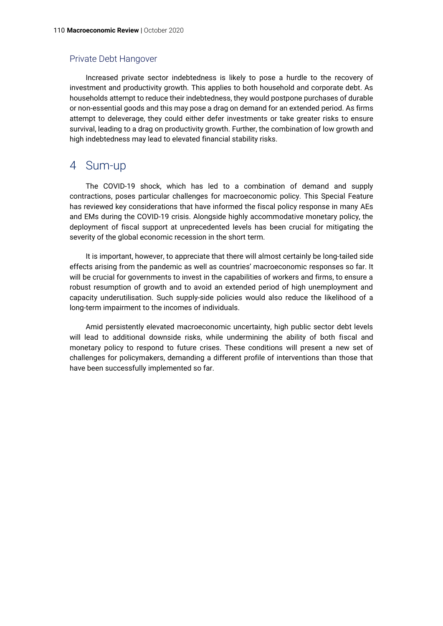#### Private Debt Hangover

Increased private sector indebtedness is likely to pose a hurdle to the recovery of investment and productivity growth. This applies to both household and corporate debt. As households attempt to reduce their indebtedness, they would postpone purchases of durable or non-essential goods and this may pose a drag on demand for an extended period. As firms attempt to deleverage, they could either defer investments or take greater risks to ensure survival, leading to a drag on productivity growth. Further, the combination of low growth and high indebtedness may lead to elevated financial stability risks.

# 4 Sum-up

The COVID-19 shock, which has led to a combination of demand and supply contractions, poses particular challenges for macroeconomic policy. This Special Feature has reviewed key considerations that have informed the fiscal policy response in many AEs and EMs during the COVID-19 crisis. Alongside highly accommodative monetary policy, the deployment of fiscal support at unprecedented levels has been crucial for mitigating the severity of the global economic recession in the short term.

It is important, however, to appreciate that there will almost certainly be long-tailed side effects arising from the pandemic as well as countries' macroeconomic responses so far. It will be crucial for governments to invest in the capabilities of workers and firms, to ensure a robust resumption of growth and to avoid an extended period of high unemployment and capacity underutilisation. Such supply-side policies would also reduce the likelihood of a long-term impairment to the incomes of individuals.

Amid persistently elevated macroeconomic uncertainty, high public sector debt levels will lead to additional downside risks, while undermining the ability of both fiscal and monetary policy to respond to future crises. These conditions will present a new set of challenges for policymakers, demanding a different profile of interventions than those that have been successfully implemented so far.